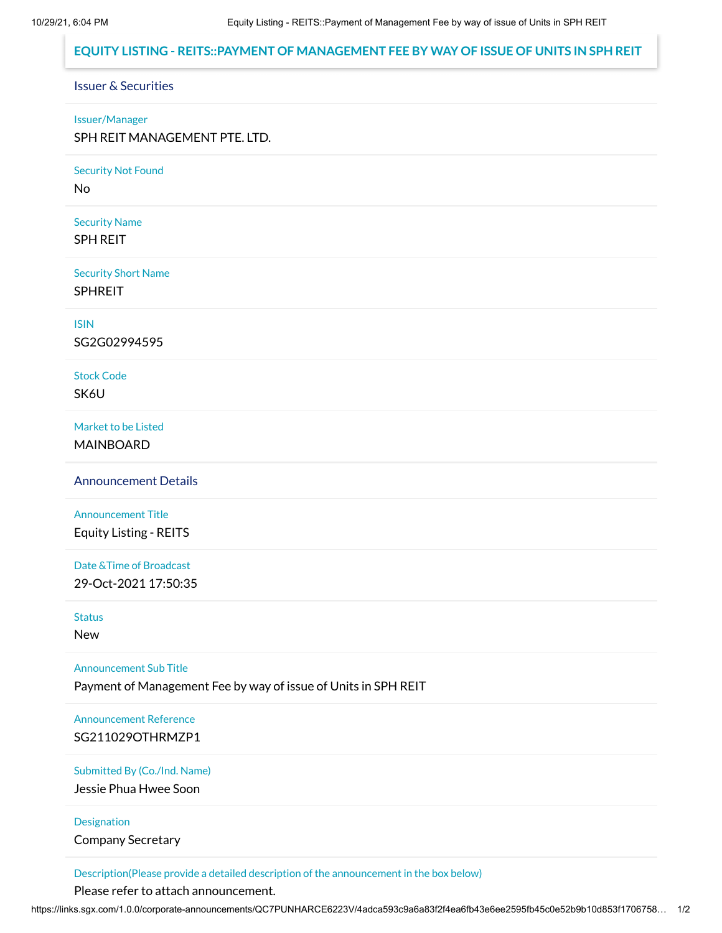## **EQUITY LISTING - REITS::PAYMENT OF MANAGEMENT FEE BY WAY OF ISSUE OF UNITS IN SPH REIT**

## Issuer & Securities

#### Issuer/Manager

SPH REIT MANAGEMENT PTE. LTD.

Security Not Found

No

Security Name

SPH REIT

Security Short Name SPHREIT

ISIN

SG2G02994595

Stock Code

SK6U

Market to be Listed MAINBOARD

Announcement Details

Announcement Title Equity Listing - REITS

Date &Time of Broadcast 29-Oct-2021 17:50:35

**Status** 

New

Announcement Sub Title

Payment of Management Fee by way of issue of Units in SPH REIT

Announcement Reference SG211029OTHRMZP1

Submitted By (Co./Ind. Name)

Jessie Phua Hwee Soon

Designation

Company Secretary

Description(Please provide a detailed description of the announcement in the box below)

Please refer to attach announcement.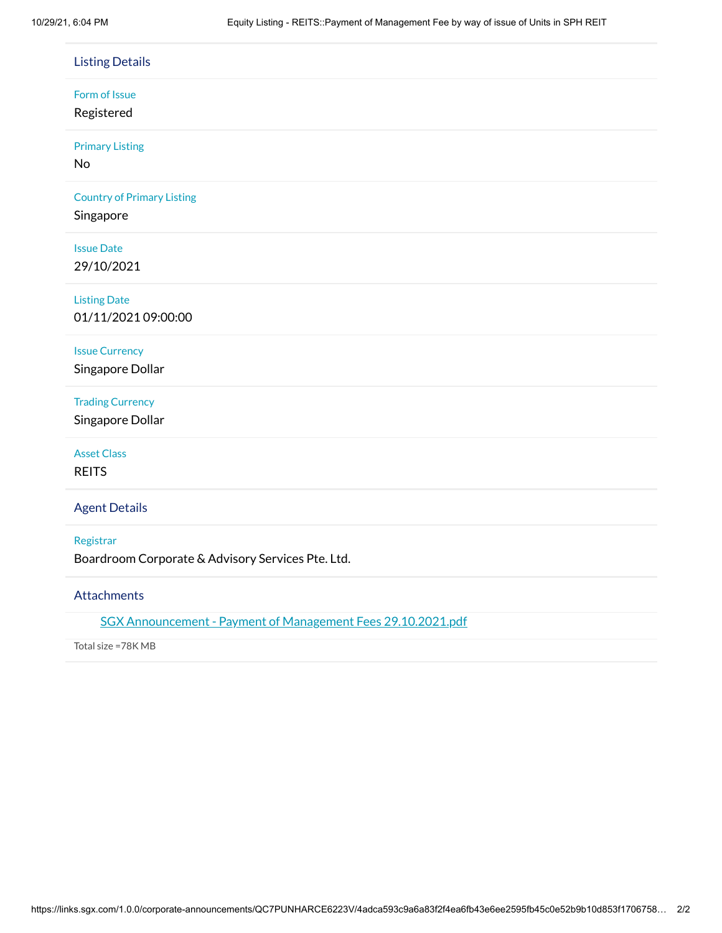| <b>Listing Details</b>                                         |
|----------------------------------------------------------------|
| Form of Issue<br>Registered                                    |
| <b>Primary Listing</b><br>No                                   |
| <b>Country of Primary Listing</b><br>Singapore                 |
| <b>Issue Date</b><br>29/10/2021                                |
| <b>Listing Date</b><br>01/11/2021 09:00:00                     |
| <b>Issue Currency</b><br>Singapore Dollar                      |
| <b>Trading Currency</b><br>Singapore Dollar                    |
| <b>Asset Class</b><br><b>REITS</b>                             |
| <b>Agent Details</b>                                           |
| Registrar<br>Boardroom Corporate & Advisory Services Pte. Ltd. |
| <b>Attachments</b>                                             |
| SGX Announcement - Payment of Management Fees 29.10.2021.pdf   |

Total size =78K MB